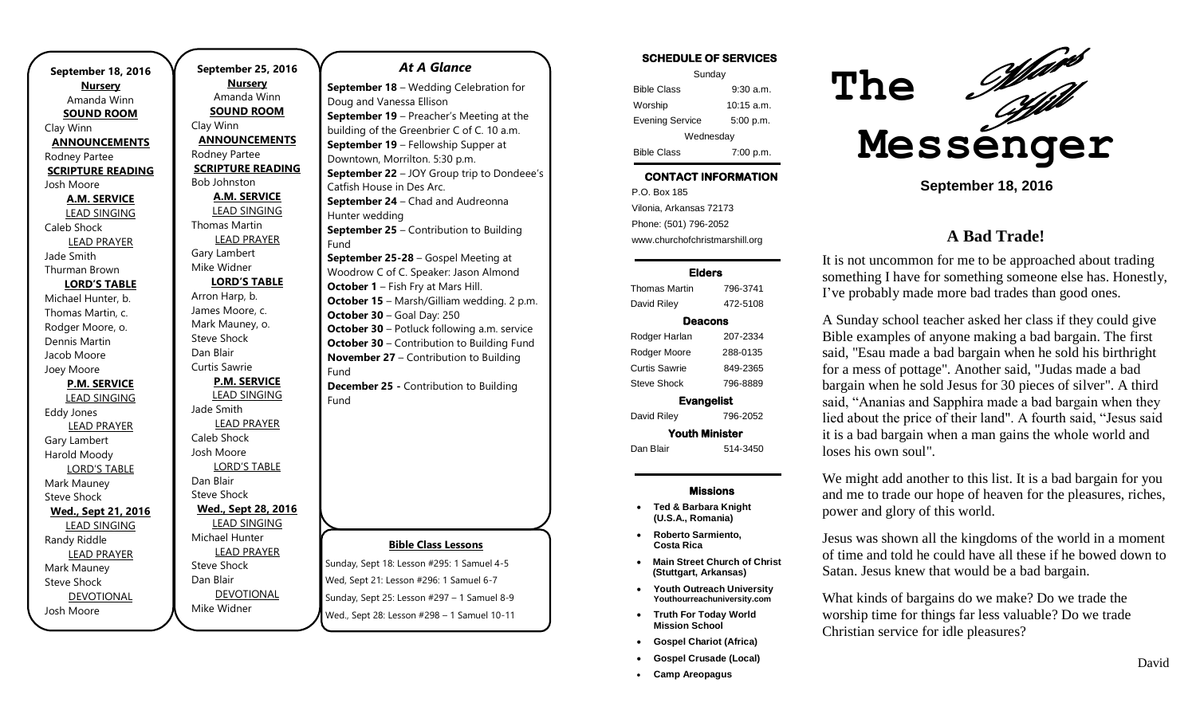**September 18, 2016 Nursery** Amanda Winn **SOUND ROOM** Clay Winn **ANNOUNCEMENTS** Rodney Partee **SCRIPTURE READING** Josh Moore **A.M. SERVICE** LEAD SINGING Caleb Shock LEAD PRAYER Jade Smith Thurman Brown **LORD'S TABLE** Michael Hunter, b. Thomas Martin, c. Rodger Moore, o. Dennis Martin Jacob Moore Joey Moore **P.M. SERVICE** LEAD SINGING Eddy Jones LEAD PRAYER Gary Lambert Harold Moody LORD'S TABLE Mark Mauney Steve Shock **Wed., Sept 21, 2016** LEAD SINGING Randy Riddle LEAD PRAYER Mark Mauney Steve Shock DEVOTIONAL Josh Moore

**September 25, 2016 Nursery** Amanda Winn **SOUND ROOM** Clay Winn **ANNOUNCEMENTS** Rodney Partee **SCRIPTURE READING** Bob Johnston **A.M. SERVICE** LEAD SINGING Thomas Martin LEAD PRAYER Gary Lambert Mike Widner **LORD'S TABLE** Arron Harp, b. James Moore, c. Mark Mauney, o. Steve Shock Dan Blair Curtis Sawrie **P.M. SERVICE** LEAD SINGING Jade Smith LEAD PRAYER Caleb Shock Josh Moore LORD'S TABLE Dan Blair Steve Shock **Wed., Sept 28, 2016** LEAD SINGING Michael Hunter LEAD PRAYER Steve Shock Dan Blair DEVOTIONAL

Mike Widner

#### *At A Glance*

**September 18** – Wedding Celebration for Doug and Vanessa Ellison **September 19** – Preacher's Meeting at the building of the Greenbrier C of C. 10 a.m. **September 19** – Fellowship Supper at Downtown, Morrilton. 5:30 p.m. **September 22** – JOY Group trip to Dondeee's Catfish House in Des Arc. **September 24** – Chad and Audreonna Hunter wedding **September 25** – Contribution to Building Fund **September 25-28** – Gospel Meeting at Woodrow C of C. Speaker: Jason Almond **October 1** – Fish Fry at Mars Hill. **October 15** – Marsh/Gilliam wedding. 2 p.m. **October 30** – Goal Day: 250 **October 30** – Potluck following a.m. service **October 30** – Contribution to Building Fund **November 27** – Contribution to Building Fund **December 25 -** Contribution to Building Fund

### **Bible Class Lessons**

Sunday, Sept 18: Lesson #295: 1 Samuel 4-5 Wed, Sept 21: Lesson #296: 1 Samuel 6-7 Sunday, Sept 25: Lesson #297 – 1 Samuel 8-9 Wed., Sept 28: Lesson #298 – 1 Samuel 10-11

#### **SCHEDULE OF SERVICES**

| Sunday                 |              |  |
|------------------------|--------------|--|
| <b>Bible Class</b>     | 9:30a.m.     |  |
| Worship                | $10:15$ a.m. |  |
| <b>Evening Service</b> | 5:00 p.m.    |  |
| Wednesday              |              |  |
| <b>Bible Class</b>     | 7:00 p.m.    |  |

# **CONTACT INFORMATION**

. .o. Bex Tee<br>Vilonia, Arkansas 72173 P.O. Box 185 Phone: (501) 796-2052 www.churchofchristmarshill.org

#### **Elders**

| <b>Thomas Martin</b>  | 796-3741 |  |
|-----------------------|----------|--|
| David Riley           | 472-5108 |  |
| Deacons               |          |  |
| Rodger Harlan         | 207-2334 |  |
| Rodger Moore          | 288-0135 |  |
| Curtis Sawrie         | 849-2365 |  |
| Steve Shock           | 796-8889 |  |
| <b>Evangelist</b>     |          |  |
| David Riley           | 796-2052 |  |
| <b>Youth Minister</b> |          |  |
| Dan Blair             | 514-3450 |  |

#### **Missions**

- **Ted & Barbara Knight (U.S.A., Romania)**
- **Roberto Sarmiento, Costa Rica**
- **Main Street Church of Christ (Stuttgart, Arkansas)**
- **Youth Outreach University Youthourreachuniversity.com**
- **Truth For Today World Mission School**
- **Gospel Chariot (Africa)**
- **Gospel Crusade (Local)**
- **Camp Areopagus**



**September 18, 2016**

# **A Bad Trade!**

It is not uncommon for me to be approached about trading something I have for something someone else has. Honestly, I've probably made more bad trades than good ones.

A Sunday school teacher asked her class if they could give Bible examples of anyone making a bad bargain. The first said, "Esau made a bad bargain when he sold his birthright for a mess of pottage". Another said, "Judas made a bad bargain when he sold Jesus for 30 pieces of silver". A third said, "Ananias and Sapphira made a bad bargain when they lied about the price of their land". A fourth said, "Jesus said it is a bad bargain when a man gains the whole world and loses his own soul".

We might add another to this list. It is a bad bargain for you and me to trade our hope of heaven for the pleasures, riches, power and glory of this world.

Jesus was shown all the kingdoms of the world in a moment of time and told he could have all these if he bowed down to Satan. Jesus knew that would be a bad bargain.

What kinds of bargains do we make? Do we trade the worship time for things far less valuable? Do we trade Christian service for idle pleasures?